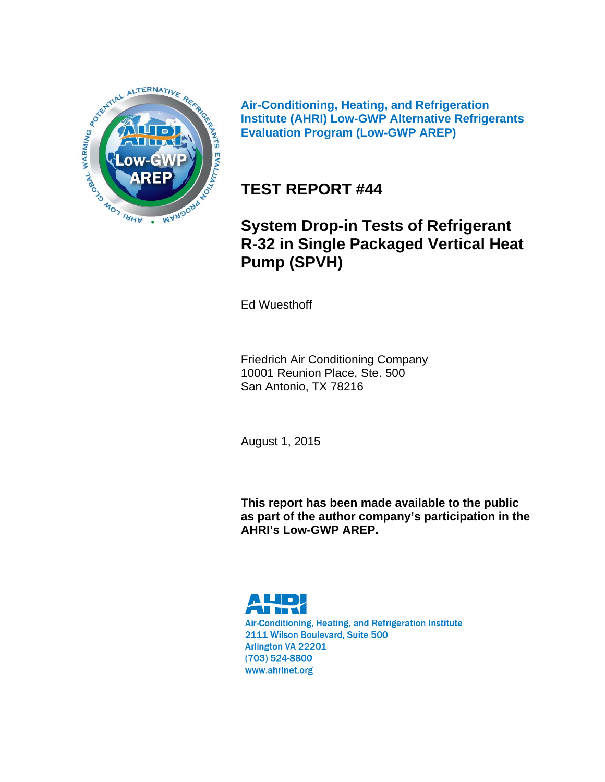

**Air-Conditioning, Heating, and Refrigeration Institute (AHRI) Low-GWP Alternative Refrigerants Evaluation Program (Low-GWP AREP)** 

# **TEST REPORT #44**

# **System Drop-in Tests of Refrigerant R-32 in Single Packaged Vertical Heat Pump (SPVH)**

Ed Wuesthoff

Friedrich Air Conditioning Company 10001 Reunion Place, Ste. 500 San Antonio, TX 78216

August 1, 2015

**This report has been made available to the public as part of the author company's participation in the AHRI's Low-GWP AREP.** 

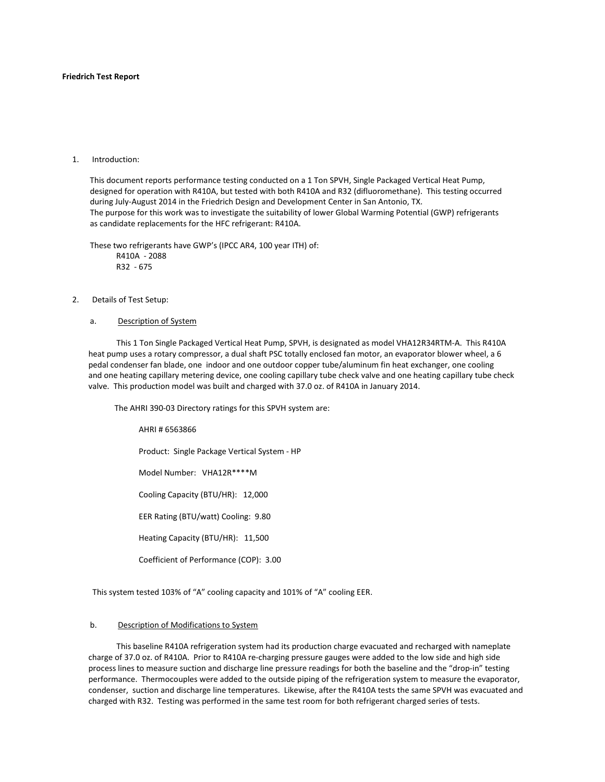#### **Friedrich Test Report**

#### 1. Introduction:

This document reports performance testing conducted on a 1 Ton SPVH, Single Packaged Vertical Heat Pump, designed for operation with R410A, but tested with both R410A and R32 (difluoromethane). This testing occurred during July-August 2014 in the Friedrich Design and Development Center in San Antonio, TX. The purpose for this work was to investigate the suitability of lower Global Warming Potential (GWP) refrigerants as candidate replacements for the HFC refrigerant: R410A.

These two refrigerants have GWP's (IPCC AR4, 100 year ITH) of: R410A - 2088 R32 - 675

#### 2. Details of Test Setup:

#### a. Description of System

 This 1 Ton Single Packaged Vertical Heat Pump, SPVH, is designated as model VHA12R34RTM-A. This R410A heat pump uses a rotary compressor, a dual shaft PSC totally enclosed fan motor, an evaporator blower wheel, a 6 pedal condenser fan blade, one indoor and one outdoor copper tube/aluminum fin heat exchanger, one cooling and one heating capillary metering device, one cooling capillary tube check valve and one heating capillary tube check valve. This production model was built and charged with 37.0 oz. of R410A in January 2014.

The AHRI 390-03 Directory ratings for this SPVH system are:

AHRI # 6563866

Product: Single Package Vertical System - HP

Model Number: VHA12R\*\*\*\*M

Cooling Capacity (BTU/HR): 12,000

EER Rating (BTU/watt) Cooling: 9.80

Heating Capacity (BTU/HR): 11,500

Coefficient of Performance (COP): 3.00

This system tested 103% of "A" cooling capacity and 101% of "A" cooling EER.

#### b. Description of Modifications to System

 This baseline R410A refrigeration system had its production charge evacuated and recharged with nameplate charge of 37.0 oz. of R410A. Prior to R410A re-charging pressure gauges were added to the low side and high side process lines to measure suction and discharge line pressure readings for both the baseline and the "drop-in" testing performance. Thermocouples were added to the outside piping of the refrigeration system to measure the evaporator, condenser, suction and discharge line temperatures. Likewise, after the R410A tests the same SPVH was evacuated and charged with R32. Testing was performed in the same test room for both refrigerant charged series of tests.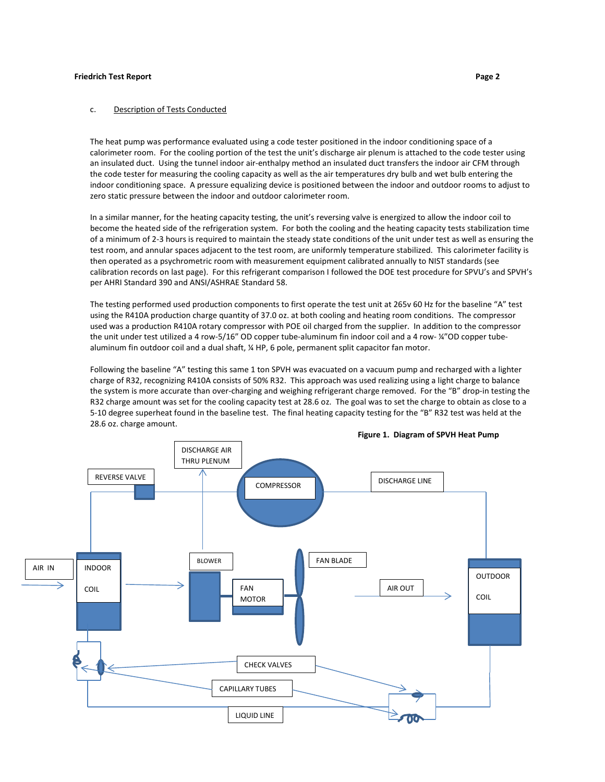#### c. Description of Tests Conducted

The heat pump was performance evaluated using a code tester positioned in the indoor conditioning space of a calorimeter room. For the cooling portion of the test the unit's discharge air plenum is attached to the code tester using an insulated duct. Using the tunnel indoor air-enthalpy method an insulated duct transfers the indoor air CFM through the code tester for measuring the cooling capacity as well as the air temperatures dry bulb and wet bulb entering the indoor conditioning space. A pressure equalizing device is positioned between the indoor and outdoor rooms to adjust to zero static pressure between the indoor and outdoor calorimeter room.

In a similar manner, for the heating capacity testing, the unit's reversing valve is energized to allow the indoor coil to become the heated side of the refrigeration system. For both the cooling and the heating capacity tests stabilization time of a minimum of 2-3 hours is required to maintain the steady state conditions of the unit under test as well as ensuring the test room, and annular spaces adjacent to the test room, are uniformly temperature stabilized. This calorimeter facility is then operated as a psychrometric room with measurement equipment calibrated annually to NIST standards (see calibration records on last page). For this refrigerant comparison I followed the DOE test procedure for SPVU's and SPVH's per AHRI Standard 390 and ANSI/ASHRAE Standard 58.

The testing performed used production components to first operate the test unit at 265v 60 Hz for the baseline "A" test using the R410A production charge quantity of 37.0 oz. at both cooling and heating room conditions. The compressor used was a production R410A rotary compressor with POE oil charged from the supplier. In addition to the compressor the unit under test utilized a 4 row-5/16" OD copper tube-aluminum fin indoor coil and a 4 row- ¼"OD copper tubealuminum fin outdoor coil and a dual shaft, ¼ HP, 6 pole, permanent split capacitor fan motor.

Following the baseline "A" testing this same 1 ton SPVH was evacuated on a vacuum pump and recharged with a lighter charge of R32, recognizing R410A consists of 50% R32. This approach was used realizing using a light charge to balance the system is more accurate than over-charging and weighing refrigerant charge removed. For the "B" drop-in testing the R32 charge amount was set for the cooling capacity test at 28.6 oz. The goal was to set the charge to obtain as close to a 5-10 degree superheat found in the baseline test. The final heating capacity testing for the "B" R32 test was held at the 28.6 oz. charge amount.



#### **Figure 1. Diagram of SPVH Heat Pump**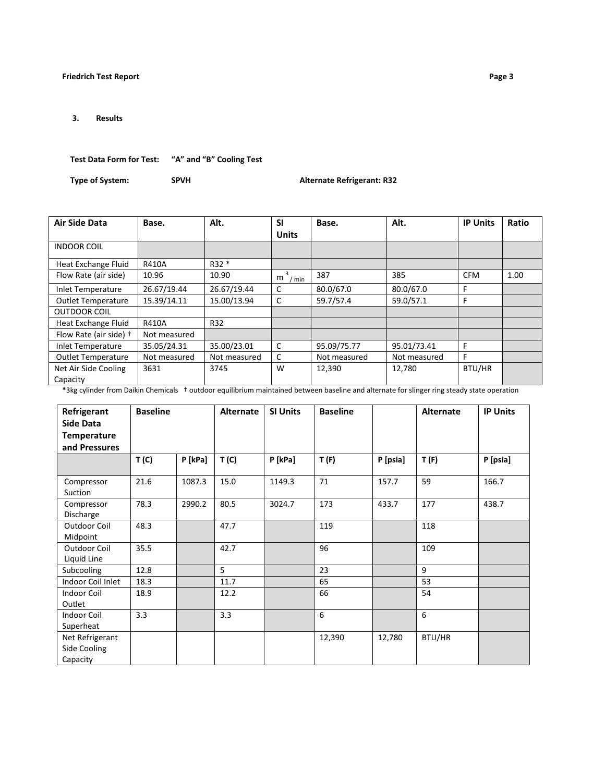**3. Results**

 **Test Data Form for Test: "A" and "B" Cooling Test**

**Type of System:** SPVH SPVH Alternate Refrigerant: R32

| Air Side Data             | Base.        | Alt.         | <b>SI</b>       | Base.        | Alt.         | <b>IP Units</b> | Ratio |
|---------------------------|--------------|--------------|-----------------|--------------|--------------|-----------------|-------|
|                           |              |              | <b>Units</b>    |              |              |                 |       |
| <b>INDOOR COIL</b>        |              |              |                 |              |              |                 |       |
| Heat Exchange Fluid       | <b>R410A</b> | R32 *        |                 |              |              |                 |       |
| Flow Rate (air side)      | 10.96        | 10.90        | 3<br>m<br>/ min | 387          | 385          | <b>CFM</b>      | 1.00  |
| Inlet Temperature         | 26.67/19.44  | 26.67/19.44  | C               | 80.0/67.0    | 80.0/67.0    | F               |       |
| <b>Outlet Temperature</b> | 15.39/14.11  | 15.00/13.94  | C               | 59.7/57.4    | 59.0/57.1    | F               |       |
| <b>OUTDOOR COIL</b>       |              |              |                 |              |              |                 |       |
| Heat Exchange Fluid       | <b>R410A</b> | R32          |                 |              |              |                 |       |
| Flow Rate (air side) +    | Not measured |              |                 |              |              |                 |       |
| Inlet Temperature         | 35.05/24.31  | 35.00/23.01  | C               | 95.09/75.77  | 95.01/73.41  | F               |       |
| <b>Outlet Temperature</b> | Not measured | Not measured | C               | Not measured | Not measured | F               |       |
| Net Air Side Cooling      | 3631         | 3745         | W               | 12,390       | 12,780       | BTU/HR          |       |
| Capacity                  |              |              |                 |              |              |                 |       |

**\***3kg cylinder from Daikin Chemicals † outdoor equilibrium maintained between baseline and alternate for slinger ring steady state operation

| Refrigerant<br>Side Data<br><b>Temperature</b><br>and Pressures | <b>Baseline</b> |         | <b>Alternate</b> | <b>SI Units</b> | <b>Baseline</b> |          | <b>Alternate</b> | <b>IP Units</b> |
|-----------------------------------------------------------------|-----------------|---------|------------------|-----------------|-----------------|----------|------------------|-----------------|
|                                                                 | T(C)            | P [kPa] | T(C)             | $P$ [kPa]       | T(f)            | P [psia] | T(f)             | P [psia]        |
| Compressor<br>Suction                                           | 21.6            | 1087.3  | 15.0             | 1149.3          | 71              | 157.7    | 59               | 166.7           |
| Compressor<br>Discharge                                         | 78.3            | 2990.2  | 80.5             | 3024.7          | 173             | 433.7    | 177              | 438.7           |
| Outdoor Coil<br>Midpoint                                        | 48.3            |         | 47.7             |                 | 119             |          | 118              |                 |
| Outdoor Coil<br>Liquid Line                                     | 35.5            |         | 42.7             |                 | 96              |          | 109              |                 |
| Subcooling                                                      | 12.8            |         | 5                |                 | 23              |          | 9                |                 |
| Indoor Coil Inlet                                               | 18.3            |         | 11.7             |                 | 65              |          | 53               |                 |
| Indoor Coil<br>Outlet                                           | 18.9            |         | 12.2             |                 | 66              |          | 54               |                 |
| Indoor Coil<br>Superheat                                        | 3.3             |         | 3.3              |                 | 6               |          | 6                |                 |
| Net Refrigerant<br>Side Cooling<br>Capacity                     |                 |         |                  |                 | 12,390          | 12,780   | BTU/HR           |                 |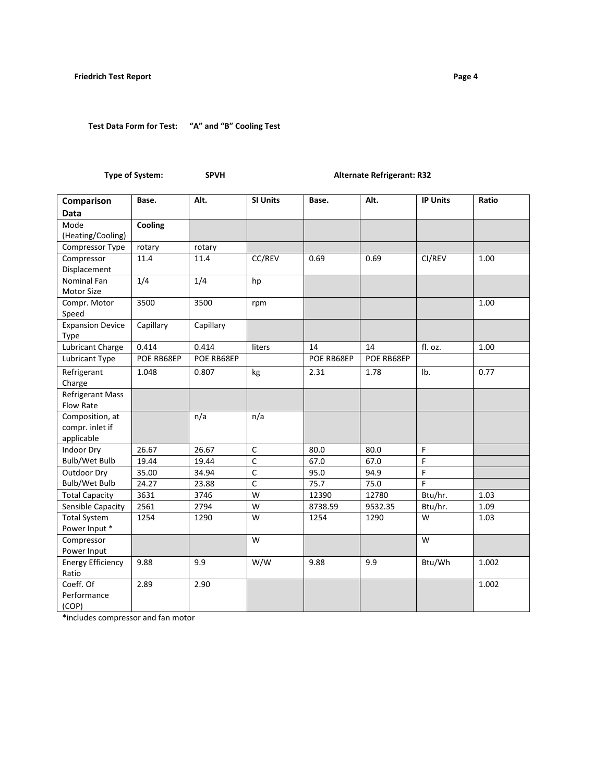**Test Data Form for Test: "A" and "B" Cooling Test**

| Comparison               | Base.      | Alt.       | <b>SI Units</b> | Base.      | Alt.       | <b>IP Units</b> | Ratio |
|--------------------------|------------|------------|-----------------|------------|------------|-----------------|-------|
| Data                     |            |            |                 |            |            |                 |       |
| Mode                     | Cooling    |            |                 |            |            |                 |       |
| (Heating/Cooling)        |            |            |                 |            |            |                 |       |
| Compressor Type          | rotary     | rotary     |                 |            |            |                 |       |
| Compressor               | 11.4       | 11.4       | CC/REV          | 0.69       | 0.69       | CI/REV          | 1.00  |
| Displacement             |            |            |                 |            |            |                 |       |
| Nominal Fan              | 1/4        | 1/4        | hp              |            |            |                 |       |
| <b>Motor Size</b>        |            |            |                 |            |            |                 |       |
| Compr. Motor             | 3500       | 3500       | rpm             |            |            |                 | 1.00  |
| Speed                    |            |            |                 |            |            |                 |       |
| <b>Expansion Device</b>  | Capillary  | Capillary  |                 |            |            |                 |       |
| Type                     |            |            |                 |            |            |                 |       |
| Lubricant Charge         | 0.414      | 0.414      | liters          | 14         | 14         | fl. oz.         | 1.00  |
| Lubricant Type           | POE RB68EP | POE RB68EP |                 | POE RB68EP | POE RB68EP |                 |       |
| Refrigerant              | 1.048      | 0.807      | kg              | 2.31       | 1.78       | Ib.             | 0.77  |
| Charge                   |            |            |                 |            |            |                 |       |
| Refrigerant Mass         |            |            |                 |            |            |                 |       |
| <b>Flow Rate</b>         |            |            |                 |            |            |                 |       |
| Composition, at          |            | n/a        | n/a             |            |            |                 |       |
| compr. inlet if          |            |            |                 |            |            |                 |       |
| applicable               |            |            |                 |            |            |                 |       |
| Indoor Dry               | 26.67      | 26.67      | $\mathsf C$     | 80.0       | 80.0       | $\mathsf F$     |       |
| <b>Bulb/Wet Bulb</b>     | 19.44      | 19.44      | $\mathsf C$     | 67.0       | 67.0       | F               |       |
| Outdoor Dry              | 35.00      | 34.94      | $\mathsf{C}$    | 95.0       | 94.9       | F               |       |
| <b>Bulb/Wet Bulb</b>     | 24.27      | 23.88      | $\mathsf{C}$    | 75.7       | 75.0       | F               |       |
| <b>Total Capacity</b>    | 3631       | 3746       | W               | 12390      | 12780      | Btu/hr.         | 1.03  |
| Sensible Capacity        | 2561       | 2794       | W               | 8738.59    | 9532.35    | Btu/hr.         | 1.09  |
| Total System             | 1254       | 1290       | W               | 1254       | 1290       | W               | 1.03  |
| Power Input *            |            |            |                 |            |            |                 |       |
| Compressor               |            |            | W               |            |            | W               |       |
| Power Input              |            |            |                 |            |            |                 |       |
| <b>Energy Efficiency</b> | 9.88       | 9.9        | W/W             | 9.88       | 9.9        | Btu/Wh          | 1.002 |
| Ratio                    |            |            |                 |            |            |                 |       |
| Coeff. Of                | 2.89       | 2.90       |                 |            |            |                 | 1.002 |
| Performance              |            |            |                 |            |            |                 |       |
| (COP)                    |            |            |                 |            |            |                 |       |

**Type of System:** SPVH SPVH Alternate Refrigerant: R32

\*includes compressor and fan motor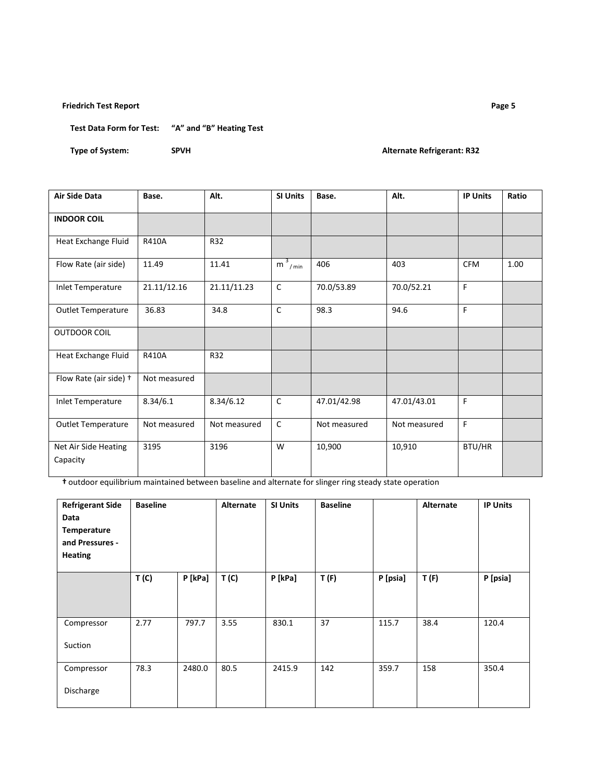**Test Data Form for Test: "A" and "B" Heating Test**

**Type of System:** SPVH SPVH SPVH **Alternate Refrigerant: R32** 

| Air Side Data                    | Base.        | Alt.         | <b>SI Units</b>       | Base.        | Alt.         | <b>IP Units</b> | Ratio |
|----------------------------------|--------------|--------------|-----------------------|--------------|--------------|-----------------|-------|
| <b>INDOOR COIL</b>               |              |              |                       |              |              |                 |       |
| Heat Exchange Fluid              | R410A        | R32          |                       |              |              |                 |       |
| Flow Rate (air side)             | 11.49        | 11.41        | $m^3$ <sub>/min</sub> | 406          | 403          | <b>CFM</b>      | 1.00  |
| <b>Inlet Temperature</b>         | 21.11/12.16  | 21.11/11.23  | C                     | 70.0/53.89   | 70.0/52.21   | F               |       |
| Outlet Temperature               | 36.83        | 34.8         | $\mathsf C$           | 98.3         | 94.6         | F               |       |
| <b>OUTDOOR COIL</b>              |              |              |                       |              |              |                 |       |
| Heat Exchange Fluid              | R410A        | R32          |                       |              |              |                 |       |
| Flow Rate (air side) +           | Not measured |              |                       |              |              |                 |       |
| Inlet Temperature                | 8.34/6.1     | 8.34/6.12    | $\mathsf C$           | 47.01/42.98  | 47.01/43.01  | F               |       |
| <b>Outlet Temperature</b>        | Not measured | Not measured | $\mathsf C$           | Not measured | Not measured | F               |       |
| Net Air Side Heating<br>Capacity | 3195         | 3196         | W                     | 10,900       | 10,910       | BTU/HR          |       |

**†** outdoor equilibrium maintained between baseline and alternate for slinger ring steady state operation

| <b>Refrigerant Side</b><br>Data<br>Temperature<br>and Pressures -<br><b>Heating</b> | <b>Baseline</b> |         | Alternate | <b>SI Units</b> | <b>Baseline</b> |          | Alternate | <b>IP Units</b> |
|-------------------------------------------------------------------------------------|-----------------|---------|-----------|-----------------|-----------------|----------|-----------|-----------------|
|                                                                                     | T(C)            | P [kPa] | T (C)     | P [kPa]         | T(F)            | P [psia] | T(f)      | P [psia]        |
| Compressor<br>Suction                                                               | 2.77            | 797.7   | 3.55      | 830.1           | 37              | 115.7    | 38.4      | 120.4           |
| Compressor<br>Discharge                                                             | 78.3            | 2480.0  | 80.5      | 2415.9          | 142             | 359.7    | 158       | 350.4           |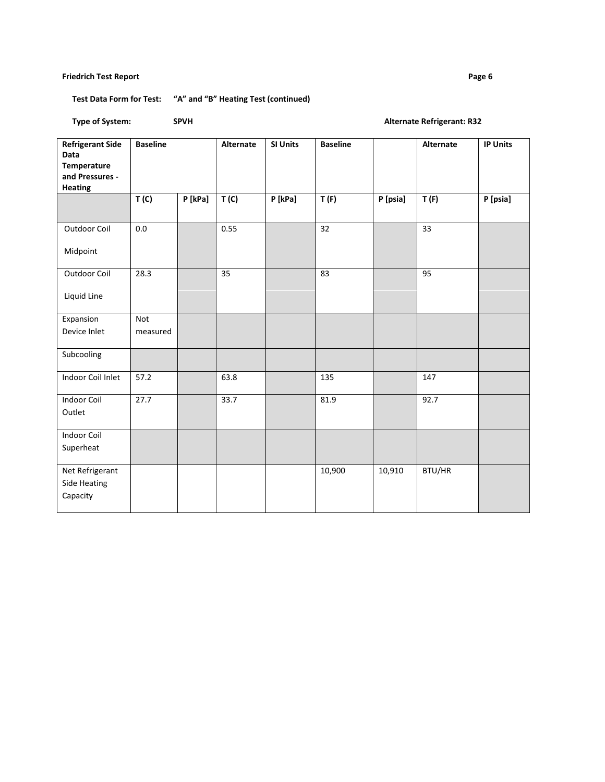### **Test Data Form for Test: "A" and "B" Heating Test (continued)**

### **Type of System:** SPVH SPVH SPVH **Alternate Refrigerant: R32**

| <b>Refrigerant Side</b><br>Data<br>Temperature<br>and Pressures -<br><b>Heating</b> | <b>Baseline</b>   |           | Alternate | <b>SI Units</b> | <b>Baseline</b> |          | Alternate | <b>IP Units</b> |
|-------------------------------------------------------------------------------------|-------------------|-----------|-----------|-----------------|-----------------|----------|-----------|-----------------|
|                                                                                     | T(C)              | $P$ [kPa] | T(C)      | $P$ [kPa]       | T(F)            | P [psia] | T(f)      | P [psia]        |
| <b>Outdoor Coil</b><br>Midpoint                                                     | 0.0               |           | 0.55      |                 | $\overline{32}$ |          | 33        |                 |
| Outdoor Coil<br>Liquid Line                                                         | 28.3              |           | 35        |                 | 83              |          | 95        |                 |
| Expansion<br>Device Inlet                                                           | Not<br>measured   |           |           |                 |                 |          |           |                 |
| Subcooling                                                                          |                   |           |           |                 |                 |          |           |                 |
| Indoor Coil Inlet                                                                   | 57.2              |           | 63.8      |                 | 135             |          | 147       |                 |
| <b>Indoor Coil</b><br>Outlet                                                        | $\overline{27.7}$ |           | 33.7      |                 | 81.9            |          | 92.7      |                 |
| <b>Indoor Coil</b><br>Superheat                                                     |                   |           |           |                 |                 |          |           |                 |
| Net Refrigerant<br><b>Side Heating</b><br>Capacity                                  |                   |           |           |                 | 10,900          | 10,910   | BTU/HR    |                 |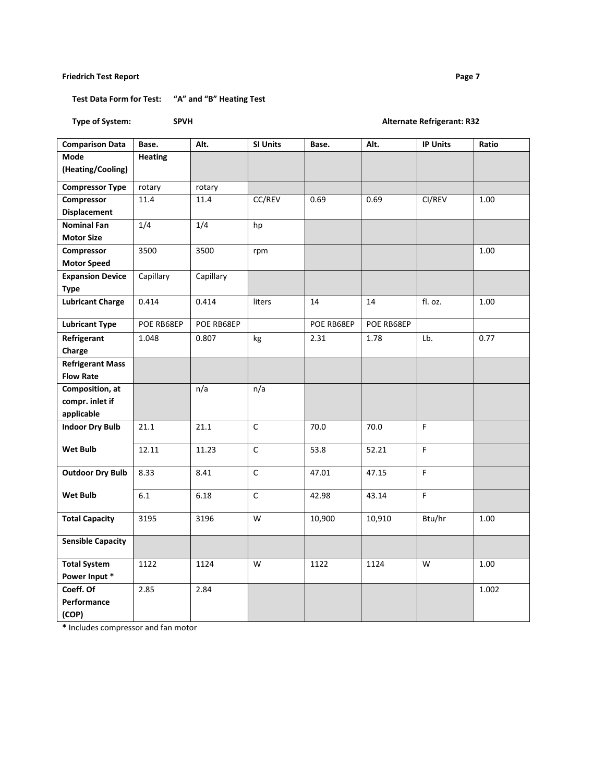**Test Data Form for Test: "A" and "B" Heating Test**

### **Type of System:** SPVH SPVH SPVH **Alternate Refrigerant: R32**

| <b>Comparison Data</b>   | Base.          | Alt.       | <b>SI Units</b> | Base.      | Alt.       | <b>IP Units</b> | Ratio |
|--------------------------|----------------|------------|-----------------|------------|------------|-----------------|-------|
| <b>Mode</b>              | <b>Heating</b> |            |                 |            |            |                 |       |
| (Heating/Cooling)        |                |            |                 |            |            |                 |       |
| <b>Compressor Type</b>   | rotary         | rotary     |                 |            |            |                 |       |
| Compressor               | 11.4           | 11.4       | CC/REV          | 0.69       | 0.69       | CI/REV          | 1.00  |
| <b>Displacement</b>      |                |            |                 |            |            |                 |       |
| <b>Nominal Fan</b>       | 1/4            | 1/4        | hp              |            |            |                 |       |
| <b>Motor Size</b>        |                |            |                 |            |            |                 |       |
| Compressor               | 3500           | 3500       | rpm             |            |            |                 | 1.00  |
| <b>Motor Speed</b>       |                |            |                 |            |            |                 |       |
| <b>Expansion Device</b>  | Capillary      | Capillary  |                 |            |            |                 |       |
| <b>Type</b>              |                |            |                 |            |            |                 |       |
| <b>Lubricant Charge</b>  | 0.414          | 0.414      | liters          | 14         | 14         | fl. oz.         | 1.00  |
| <b>Lubricant Type</b>    | POE RB68EP     | POE RB68EP |                 | POE RB68EP | POE RB68EP |                 |       |
| Refrigerant              | 1.048          | 0.807      | kg              | 2.31       | 1.78       | Lb.             | 0.77  |
| Charge                   |                |            |                 |            |            |                 |       |
| <b>Refrigerant Mass</b>  |                |            |                 |            |            |                 |       |
| <b>Flow Rate</b>         |                |            |                 |            |            |                 |       |
| Composition, at          |                | n/a        | n/a             |            |            |                 |       |
| compr. inlet if          |                |            |                 |            |            |                 |       |
| applicable               |                |            |                 |            |            |                 |       |
| <b>Indoor Dry Bulb</b>   | 21.1           | 21.1       | $\overline{c}$  | 70.0       | 70.0       | F               |       |
|                          |                |            |                 |            |            |                 |       |
| <b>Wet Bulb</b>          | 12.11          | 11.23      | $\mathsf C$     | 53.8       | 52.21      | $\mathsf F$     |       |
| <b>Outdoor Dry Bulb</b>  | 8.33           | 8.41       | $\overline{c}$  | 47.01      | 47.15      | $\overline{F}$  |       |
|                          |                |            |                 |            |            |                 |       |
| <b>Wet Bulb</b>          | 6.1            | 6.18       | $\overline{C}$  | 42.98      | 43.14      | $\mathsf F$     |       |
| <b>Total Capacity</b>    | 3195           | 3196       | W               | 10,900     | 10,910     | Btu/hr          | 1.00  |
| <b>Sensible Capacity</b> |                |            |                 |            |            |                 |       |
| <b>Total System</b>      | 1122           | 1124       | W               | 1122       | 1124       | W               | 1.00  |
| Power Input *            |                |            |                 |            |            |                 |       |
| Coeff. Of                | 2.85           | 2.84       |                 |            |            |                 | 1.002 |
| Performance<br>(COP)     |                |            |                 |            |            |                 |       |

**\*** Includes compressor and fan motor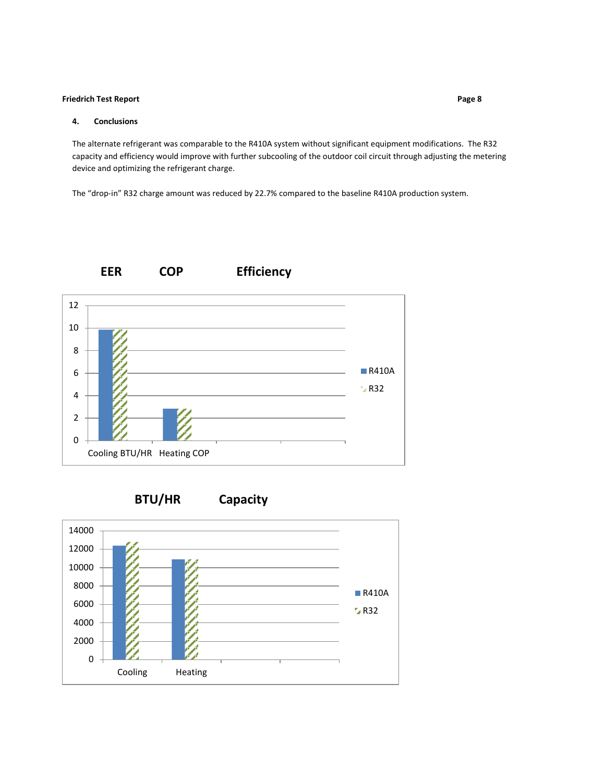#### **4. Conclusions**

The alternate refrigerant was comparable to the R410A system without significant equipment modifications. The R32 capacity and efficiency would improve with further subcooling of the outdoor coil circuit through adjusting the metering device and optimizing the refrigerant charge.

The "drop-in" R32 charge amount was reduced by 22.7% compared to the baseline R410A production system.